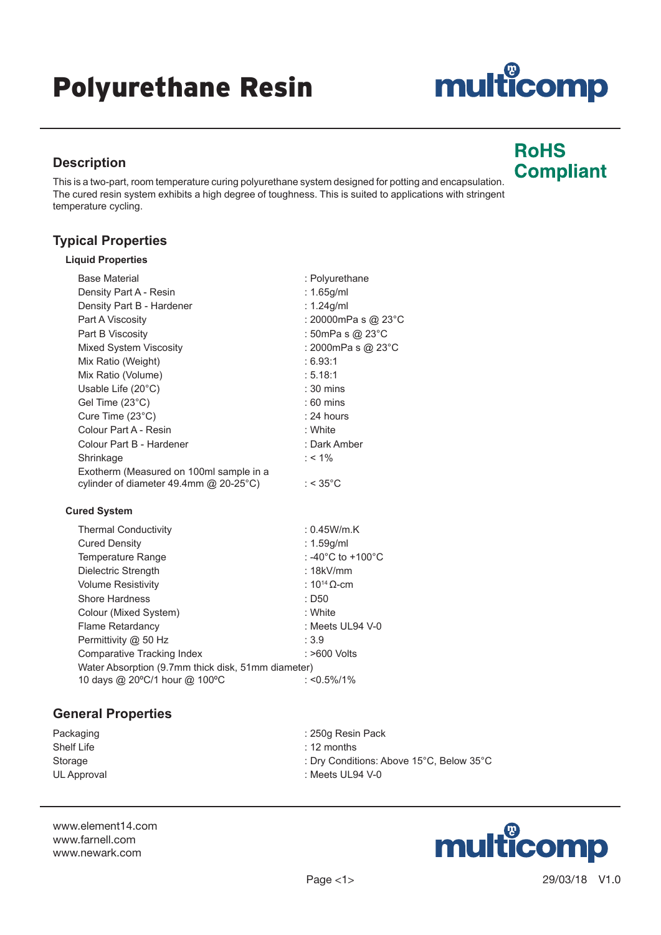#### Page <1> 29/03/18 V1.0

# Polyurethane Resin

## **Description**

This is a two-part, room temperature curing polyurethane system designed for potting and encapsulation. The cured resin system exhibits a high degree of toughness. This is suited to applications with stringent temperature cycling.

## **Typical Properties**

|  | <b>Liquid Properties</b> |
|--|--------------------------|
|--|--------------------------|

| <b>Base Material</b>                    | : Polyurethane                          |
|-----------------------------------------|-----------------------------------------|
| Density Part A - Resin                  | : 1.65g/ml                              |
| Density Part B - Hardener               | : $1.24$ g/ml                           |
| Part A Viscosity                        | : 20000mPa s @ 23°C                     |
| Part B Viscosity                        | : 50mPa s @ 23°C                        |
| Mixed System Viscosity                  | : 2000mPa s @ 23°C                      |
| Mix Ratio (Weight)                      | :6.93:1                                 |
| Mix Ratio (Volume)                      | : 5.18:1                                |
| Usable Life $(20^{\circ}C)$             | $: 30 \text{ mins}$                     |
| Gel Time (23°C)                         | $:60$ mins                              |
| Cure Time $(23^{\circ}C)$               | : 24 hours                              |
| Colour Part A - Resin                   | : White                                 |
| Colour Part B - Hardener                | : Dark Amber                            |
| Shrinkage                               | $: 1\%$                                 |
| Exotherm (Measured on 100ml sample in a |                                         |
| cylinder of diameter 49.4mm @ 20-25°C)  | : $<$ 35 $^{\circ}$ C                   |
| <b>Cured System</b>                     |                                         |
| <b>Thermal Conductivity</b>             | : 0.45W/m.K                             |
| <b>Cured Density</b>                    | : $1.59$ g/ml                           |
| Temperature Range                       | : -40 $^{\circ}$ C to +100 $^{\circ}$ C |
| Dielectric Strength                     | : $18kV/mm$                             |
| <b>Volume Resistivity</b>               | : $10^{14}$ Q-cm                        |
| Shore Hardness                          | $:$ D <sub>50</sub>                     |
|                                         |                                         |

Colour (Mixed System) **: White** Flame Retardancy in the set of the Second Second Second Second Second Second Second Second Second Second Second Second Second Second Second Second Second Second Second Second Second Second Second Second Second Second Secon Permittivity @ 50 Hz : 3.9 Comparative Tracking Index : >600 Volts Water Absorption (9.7mm thick disk, 51mm diameter)<br>10 days @ 20°C/1 hour @ 100°C : <0.5%/1% 10 days @ 20°C/1 hour @ 100°C

### **General Properties**

Shelf Life : 12 months

Packaging **Example 250g Resin Pack** 250g Resin Pack Storage : Dry Conditions: Above 15°C, Below 35°C UL Approval in the contract of the contract of the contract of the contract of the contract of the contract of the contract of the contract of the contract of the contract of the contract of the contract of the contract of

www.element14.com www.farnell.com www.newark.com



multicomp